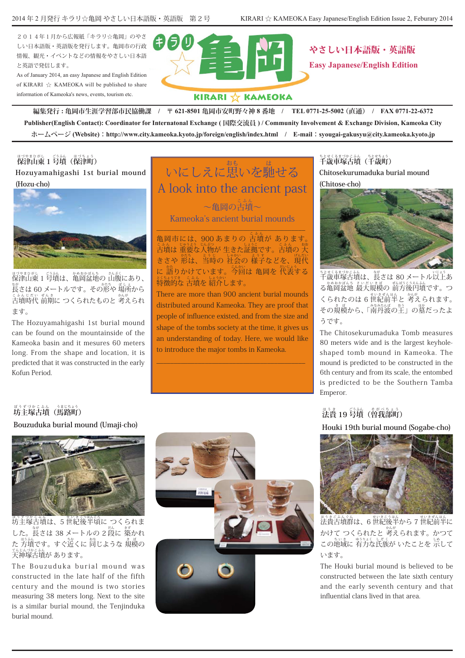2014年1月から広報紙「キラリ☆亀岡」のやさ しい日本語版・英語版を発行します。亀岡市の行政 情報、観光・イベントなどの情報をやさしい日本語 。と英語で発信します

As of January 2014, an easy Japanese and English Edition of KIRARI  $\frac{1}{24}$  KAMEOKA will be published to share information of Kameoka's news, events, tourism etc



やさしい日本語版・英語版 **Easy Japanese/English Edition** 

### KIRARI ☆ KAMEOKA

 **0771-22-6372 FAX /) 直通 (0771-25-5002 TEL / 番地 8 亀岡市安町野々神 621-8501 〒 / 亀岡市生涯学習部市民協働課 : 編集発行** Publisher(English Contact): Coordinator for Internatonal Exchange (国際交流員) / Community Involvement & Exchange Division, Kameoka City  $\ddot{x} - \Delta \sim \ddot{y}$  (Website) : http://www.city.kameoka.kyoto.jp/foreign/english/index.html / E-mail : syougai-gakusyu@city.kameoka.kyoto.jp

## $\stackrel{\text{\tiny (1338)}}{ \text{\tiny (448)}} \stackrel{\text{\tiny (1438)}}{ \text{\tiny (448)}} \stackrel{\text{\tiny (1538)}}{ \text{\tiny (482)}}$

**Hozuyamahigashi** 1st burial mound (Hozu-cho)



ほうきまかに - 35.34 かまおぼんち - 36.58<br>保津山東 1 号墳は、亀岡盆地の 山腹にあり、 。<br>長さは 60 メートルです。 その形や 場所から こふんじだい ぜんき<br>古墳時代 前期に つくられたものと 考えられ ます。

The Hozuvamahigashi 1st burial mound can be found on the mountainside of the Kameoka basin and it mesures 60 meters long. From the shape and location, it is predicted that it was constructed in the early Kofun Period.

### いにしえに思 おも いを馳 は せる A look into the ancient past

 $\sim$ 亀岡の古墳 $\sim$ Kameoka's ancient burial mounds

\_\_\_\_\_\_\_\_\_\_\_\_\_\_\_\_\_\_\_\_\_\_\_\_\_\_\_\_\_\_\_\_\_\_\_\_\_\_\_\_\_\_\_ 亀岡市には、900 あまりの 古墳が あります。 こふん しゅうまう しんおう しょうこう こうふん おおし はうこう こうふん おおう じんおう しんおう きさや 形は、当時の 社会の 様子などを、現代 に 語りかけています。今回は 亀岡を 代表する とくちょうてき こころ。<br><mark>特徴的な 古墳を 紹介します。</mark>

There are more than 900 ancient burial mounds distributed around Kameoka. They are proof that people of influence existed, and from the size and shape of the tombs society at the time, it gives us an understanding of today. Here, we would like to introduce the major tombs in Kameoka.

\_\_\_\_\_\_\_\_\_\_\_\_\_\_\_\_\_\_\_\_\_\_\_\_\_\_\_\_\_\_\_\_\_\_\_\_\_\_\_\_\_\_\_

## **千 ちとせくるまづかこふん 千(歳車塚古墳 ちとせちょう (歳町 Chitosekurumaduka** burial mound (Chitose-cho)



もとくるまづかこふん<br>千歳車塚古墳は、長さは 80 メートル以上あ る亀 かめおかぼんち 最 岡盆地 さいだいきぼ 前 大規模の ぜんぼうこうえんふん つ。方後円墳です くられたのは 6 世紀前半と 考えられます。 その規模から、「南丹波の王」の墓だったよ うです。

The Chitosekurumaduka Tomb measures shaped tomb mound in Kameoka. The 80 meters wide and is the largest keyholemound is predicted to be constructed in the 6th century and from its scale, the entombed is predicted to be the Southern Tamba .Emperor

# **法 ほうき 号 19 貴 ごうふん 曽(墳 そがべちょう (我部町**

**Houki 19th burial mound (Sogabe-cho)** 



<sub>ほうきごふんぐん</sub><br>法貴古墳群は、6 世紀後半から 7 世紀前半に かけて つくられたと 考えられます。 かつて この地域に 有力な氏族が いたことを 示して います。

The Houki burial mound is believed to be constructed between the late sixth century and the early seventh century and that influential clans lived in that area.

# **坊 ぼうずづかこふん 馬(主塚古墳 うまじちょう (路町**

**Bouzuduka burial mound (Umaji-cho)** 



<sub>ぼうずうかこふ</sub>。<br>坊主塚古墳は、5 世紀後半頃に つくられま した。長さは 38 メートルの 2 段に 築かれ た 方墳です。すぐ近くに 同じような 鴺模の 天 てんじんづかこふん 。あります 神塚古墳が

The Bouzuduka burial mound was constructed in the late half of the fifth century and the mound is two stories measuring 38 meters long. Next to the site is a similar burial mound, the Tenjinduka burial mound.